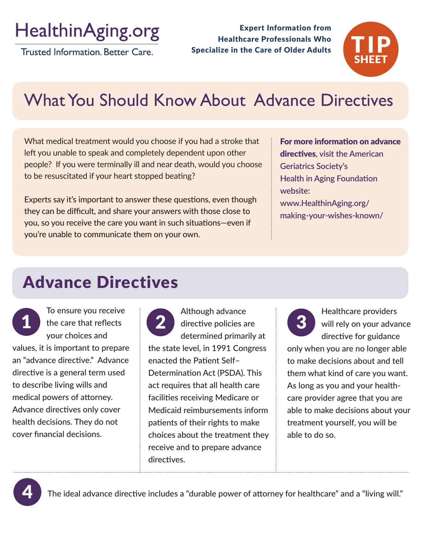# HealthinAging.org

Trusted Information, Better Care.

Expert Information from Healthcare Professionals Who Specialize in the Care of Older Adults



## What You Should Know About Advance Directives

What medical treatment would you choose if you had a stroke that left you unable to speak and completely dependent upon other people? If you were terminally ill and near death, would you choose to be resuscitated if your heart stopped beating?

Experts say it's important to answer these questions, even though they can be difficult, and share your answers with those close to you, so you receive the care you want in such situations—even if you're unable to communicate them on your own.

For more information on advance directives**, visit the American Geriatrics Society's Health in Aging Foundation website: www.HealthinAging.org/ making-your-wishes-known/** 

### Advance Directives

To ensure you receive your choices and values, it is important to prepare an "advance directive." Advance directive is a general term used to describe living wills and medical powers of attorney. Advance directives only cover health decisions. They do not cover financial decisions.

1 the care that reflects 2 directive policies are 3 Although advance directive policies are determined primarily at the state level, in 1991 Congress enacted the Patient Self– Determination Act (PSDA). This act requires that all health care facilities receiving Medicare or Medicaid reimbursements inform patients of their rights to make choices about the treatment they receive and to prepare advance directives.

Healthcare providers will rely on your advance directive for guidance

only when you are no longer able to make decisions about and tell them what kind of care you want. As long as you and your healthcare provider agree that you are able to make decisions about your treatment yourself, you will be able to do so.



The ideal advance directive includes a "durable power of attorney for healthcare" and a "living will."